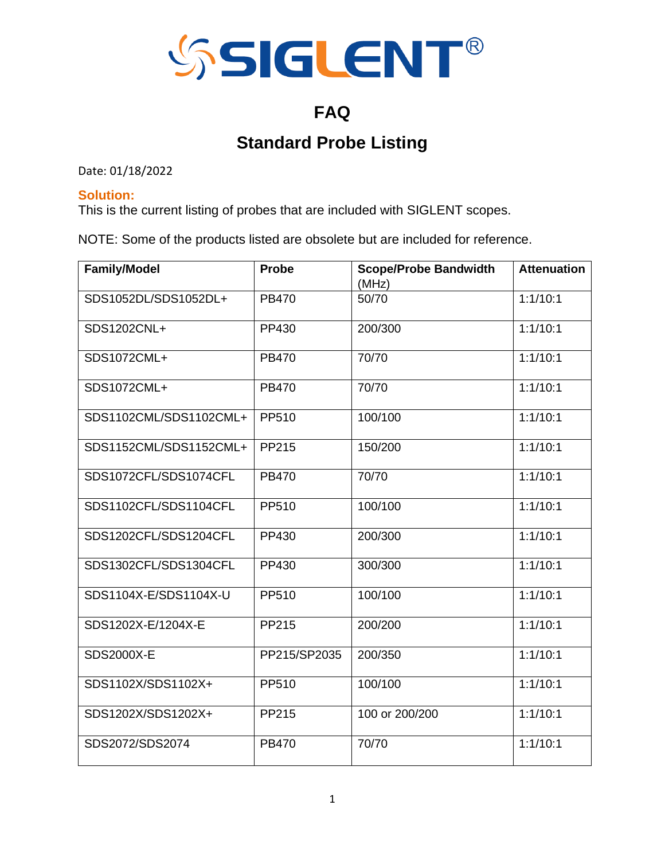

## **FAQ**

# **Standard Probe Listing**

Date: 01/18/2022

#### **Solution:**

This is the current listing of probes that are included with SIGLENT scopes.

NOTE: Some of the products listed are obsolete but are included for reference.

| <b>Family/Model</b>    | <b>Probe</b> | <b>Scope/Probe Bandwidth</b><br>(MHz) | <b>Attenuation</b> |
|------------------------|--------------|---------------------------------------|--------------------|
| SDS1052DL/SDS1052DL+   | <b>PB470</b> | 50/70                                 | 1:1/10:1           |
| SDS1202CNL+            | PP430        | 200/300                               | 1:1/10:1           |
| SDS1072CML+            | <b>PB470</b> | 70/70                                 | 1:1/10:1           |
| SDS1072CML+            | <b>PB470</b> | 70/70                                 | 1:1/10:1           |
| SDS1102CML/SDS1102CML+ | PP510        | 100/100                               | 1:1/10:1           |
| SDS1152CML/SDS1152CML+ | PP215        | 150/200                               | 1:1/10:1           |
| SDS1072CFL/SDS1074CFL  | <b>PB470</b> | 70/70                                 | 1:1/10:1           |
| SDS1102CFL/SDS1104CFL  | PP510        | 100/100                               | 1:1/10:1           |
| SDS1202CFL/SDS1204CFL  | PP430        | 200/300                               | 1:1/10:1           |
| SDS1302CFL/SDS1304CFL  | PP430        | 300/300                               | 1:1/10:1           |
| SDS1104X-E/SDS1104X-U  | PP510        | 100/100                               | 1:1/10:1           |
| SDS1202X-E/1204X-E     | PP215        | 200/200                               | 1:1/10:1           |
| <b>SDS2000X-E</b>      | PP215/SP2035 | 200/350                               | 1:1/10:1           |
| SDS1102X/SDS1102X+     | PP510        | 100/100                               | 1:1/10:1           |
| SDS1202X/SDS1202X+     | PP215        | 100 or 200/200                        | 1:1/10:1           |
| SDS2072/SDS2074        | <b>PB470</b> | 70/70                                 | 1:1/10:1           |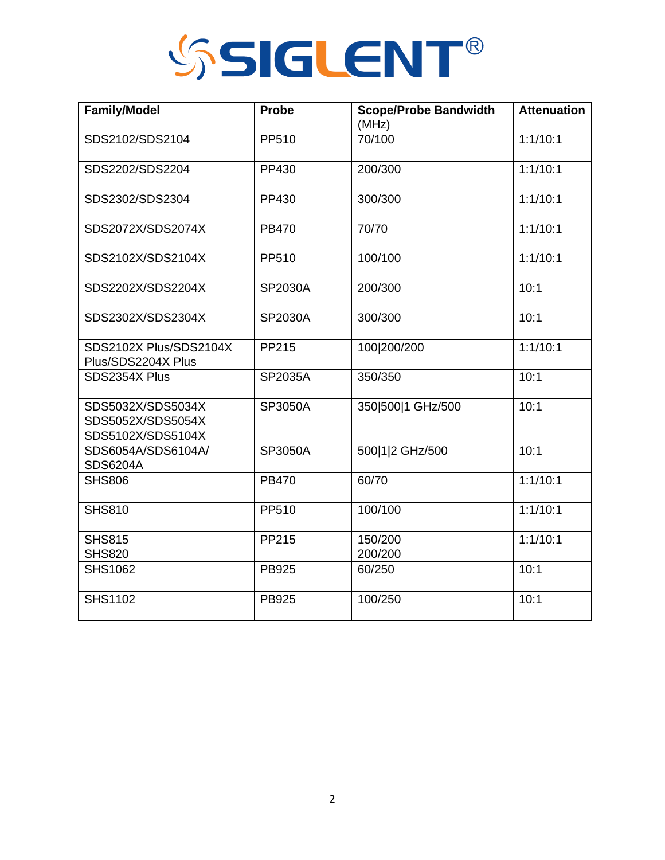

| <b>Family/Model</b>                                         | <b>Probe</b> | <b>Scope/Probe Bandwidth</b><br>(MHz) | <b>Attenuation</b> |
|-------------------------------------------------------------|--------------|---------------------------------------|--------------------|
| SDS2102/SDS2104                                             | PP510        | 70/100                                | 1:1/10:1           |
| SDS2202/SDS2204                                             | PP430        | 200/300                               | 1:1/10:1           |
| SDS2302/SDS2304                                             | PP430        | 300/300                               | 1:1/10:1           |
| SDS2072X/SDS2074X                                           | <b>PB470</b> | 70/70                                 | 1:1/10:1           |
| SDS2102X/SDS2104X                                           | PP510        | 100/100                               | 1:1/10:1           |
| SDS2202X/SDS2204X                                           | SP2030A      | 200/300                               | 10:1               |
| SDS2302X/SDS2304X                                           | SP2030A      | 300/300                               | 10:1               |
| SDS2102X Plus/SDS2104X<br>Plus/SDS2204X Plus                | PP215        | 100 200/200                           | 1:1/10:1           |
| SDS2354X Plus                                               | SP2035A      | 350/350                               | 10:1               |
| SDS5032X/SDS5034X<br>SDS5052X/SDS5054X<br>SDS5102X/SDS5104X | SP3050A      | 350 500 1 GHz/500                     | 10:1               |
| SDS6054A/SDS6104A/<br><b>SDS6204A</b>                       | SP3050A      | 500 1 2 GHz/500                       | 10:1               |
| <b>SHS806</b>                                               | <b>PB470</b> | 60/70                                 | 1:1/10:1           |
| <b>SHS810</b>                                               | PP510        | 100/100                               | 1:1/10:1           |
| <b>SHS815</b><br><b>SHS820</b>                              | PP215        | 150/200<br>200/200                    | 1:1/10:1           |
| <b>SHS1062</b>                                              | <b>PB925</b> | 60/250                                | 10:1               |
| <b>SHS1102</b>                                              | <b>PB925</b> | 100/250                               | 10:1               |